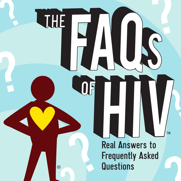**Real Answers to Frequently Asked Questions** 

®

JHE

TM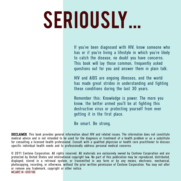# SERIOUSLY...

If you've been diagnosed with HIV, know someone who has or if you're living a lifestyle in which you're likely to catch the disease, no doubt you have concerns. This book will lay those common, frequently asked questions out for you and answer them in plain talk.

HIV and AIDS are ongoing illnesses, and the world has made great strides in understanding and fighting these conditions during the last 30 years.

Remember this: Knowledge is power. The more you know, the better armed you'll be at fighting this destructive virus or protecting yourself from ever getting it in the first place.

Be smart. Be strong.

DISCLAIMER. This book provides general information about HIV and related issues. The information does not constitute medical advice and is not intended to be used for the diagnosis or treatment of a health problem or as a substitute for consulting a licensed health professional. Consult with a qualified physician or health care practitioner to discuss specific individual health needs and to professionally address personal medical concerns.

© 2011 Centene Corporation. All rights reserved. All materials are exclusively owned by Centene Corporation and are protected by United States and international copyright law. No part of this publication may be reproduced, distributed, displayed, stored in a retrieval system, or transmitted in any form or by any means, electronic, mechanical, photocopying, recording, or otherwise, without the prior written permission of Centene Corporation. You may not alter or remove any trademark, copyright or other notice. MCARE14-00018E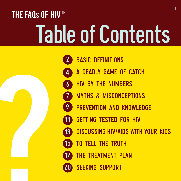# THE FAQs OF HIV™ Table of Contents

[BASIC DEFINITIONS](#page-3-0) [A DEADLY GAME OF CATCH](#page-5-0) [HIV BY THE NUMBERS](#page-7-0) [MYTHS & MISCONCEPTIONS](#page-8-0) [PREVENTION AND KNOWLEDGE](#page-10-0) [GETTING TESTED FOR HIV](#page-12-0) [DISCUSSING HIV/AIDS WITH YOUR KIDS](#page-14-0) [TO TELL THE TRUTH](#page-16-0) **[THE TREATMENT PLAN](#page-18-0)** [SEEKING SUPPORT](#page-21-0)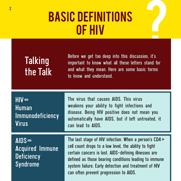### <span id="page-3-0"></span>BASIC DEFINITIONS of HIV

### **Talking** the Talk

Before we get too deep into this discussion, it's important to know what all these letters stand for and what they mean. Here are some basic terms to know and understand.

| $HIV =$<br><b>Human</b><br><b>Immunodeficiency</b><br><b>Virus</b>  | The virus that causes AIDS. This virus<br>weakens your ability to fight infections and<br>disease. Being HIV positive does not mean you<br>automatically have AIDS, but if left untreated, it<br>can lead to AIDS.                                                                                                                  |
|---------------------------------------------------------------------|-------------------------------------------------------------------------------------------------------------------------------------------------------------------------------------------------------------------------------------------------------------------------------------------------------------------------------------|
| $AIDS =$<br><b>Acquired Immune</b><br><b>Deficiency</b><br>Syndrome | The last stage of HIV infection. When a person's $CD4+$<br>cell count drops to a low level, the ability to fight<br>certain cancers is lost. AIDS-defining illnesses are<br>defined as those bearing conditions leading to immune<br>system failure. Early detection and treatment of HIV<br>can often prevent progression to AIDS. |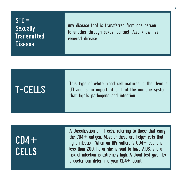#### $STD =$ **Sexually Transmitted Disease**

Any disease that is transferred from one person to another through sexual contact. Also known as venereal disease.

T-CELLS This type of white blood cell matures in the thymus<br>
T-CELLS (T) and is an important part of the immune system<br>
that fights pathogans and infaction (T) and is an important part of the immune system that fights pathogens and infection.

 $CD4+$ CELLS A classification of T-cells, referring to those that carry the CD4+ antigen. Most of these are helper cells that fight infection. When an HIV sufferer's  $CD4+$  count is less than 200, he or she is said to have AIDS, and a risk of infection is extremely high. A blood test given by a doctor can determine your CD4+ count.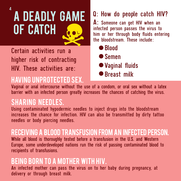## A DEADLY GAME OF CATCH

<span id="page-5-0"></span>4

Certain activities run a higher risk of contracting HIV. These activities are:

### Having unprotected sex.

#### Q: How do people catch HIV?

A: Someone can get HIV when an infected person passes the virus to him or her through body fluids entering the bloodstream. These include:

● Blood ● Semen

Vaginal fluids

● Breast milk

Vaginal or anal intercourse without the use of a condom, or oral sex without a latex barrier with an infected person greatly increases the chances of catching the virus.

### Sharing needles.

Using contaminated hypodermic needles to inject drugs into the bloodstream increases the chance for infection. HIV can also be transmitted by dirty tattoo needles or body piercing needles.

#### Receiving a blood transfusion from an infected person.

While all blood is thoroughly tested before a transfusion in the U.S. and Western Europe, some underdeveloped nations run the risk of passing contaminated blood to recipients of transfusions.

### Being born to a mother with HIV.

An infected mother can pass the virus on to her baby during pregnancy, at delivery or through breast milk.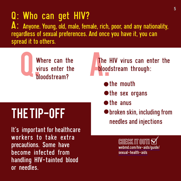Q: Who can get HIV?<br>A: Anyone. Young, old, male, female, rich, poor, and any nationality, regardless of sexual preferences. And once you have it, you can spread it to others.



### Where can the **A.The HIV virus can enter the virus enter the bloodstream** through: bloodstream through:

- **A**the mouth
- $\bullet$  the sex organs
- **o**the anus
- broken skin, including from needles and injections

CHECK IT OUT! [webmd.com/hiv-aids/guide/](http://www.webmd.com/hiv-aids/guide/sexual-health-aids) [sexual-health-aids](http://www.webmd.com/hiv-aids/guide/sexual-health-aids)

### THE TIP-OFF

It's important for healthcare workers to take extra precautions. Some have become infected from handling HIV-tainted blood or needles.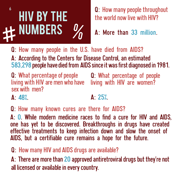### <span id="page-7-0"></span>HIV BY THE  $#$  NUMBERS  $\%$ <sup>6</sup> Q: How many people throughout

the world now live with HIV?

A: More than 33 million.

Q: How many people in the U.S. have died from AIDS?

A: According to the Centers for Disease Control, an estimated 583,298 people have died from AIDS since it was first diagnosed in 1981.

Q: What percentage of people living with HIV are men who have living with HIV are women? sex with men?

Q: What percentage of people

 $A: 48%$ 

 $\Delta$  25%

Q: How many known cures are there for AIDS?

A: 0. While modern medicine races to find a cure for HIV and AIDS, one has yet to be discovered. Breakthroughs in drugs have created effective treatments to keep infection down and slow the onset of AIDS, but a certifiable cure remains a hope for the future.

#### Q: How many HIV and AIDS drugs are available?

A: There are more than 20 approved antiretroviral drugs but they're not all licensed or available in every country.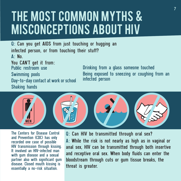### <span id="page-8-0"></span>THE MOST COMMON MYTHS & MISCONCEPTIONS ABOUT HIV

Q: Can you get AIDS from just touching or hugging an infected person, or from touching their stuff? A: No.

You CAN'T get it from: Public restroom use Swimming pools Day-to-day contact at work or school Shaking hands

Drinking from a glass someone touched Being exposed to sneezing or coughing from an infected person



The Centers for Disease Control and Prevention (CDC) has only recorded one case of possible HIV transmission through kissing. It involved an HIV-infected man with gum disease and a sexual partner also with significant gum disease. Closed mouth kissing is essentially a no-risk situation.

Q: Can HIV be transmitted through oral sex? A: While the risk is not nearly as high as in vaginal or anal sex, HIV can be transmitted through both insertive and receptive oral sex. When body fluids can enter the bloodstream through cuts or gum tissue breaks, the threat is greater.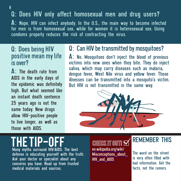#### Q: Does HIV only affect homosexual men and drug users?

A: Nope. HIV can infect anybody. In the U.S., the main way to become infected for men is from homosexual sex, while for women it is heterosexual sex. Using condoms properly reduces the risk of contracting the virus.

#### Q: Does being HIV positive mean my life is over?

 $\Delta$ : The death rate from AIDS in the early days of the epidemic was definitely high. But what seemed like an instant death sentence 25 years ago is not the same today. New drugs allow HIV-positive people to live longer, as well as those with AIDS.

#### Q: Can HIV be transmitted by mosquitoes?

A: No. Mosquitoes don't inject the blood of previous victims into new ones when they bite. They do inject saliva, which may carry diseases such as malaria, dengue fever, West Nile virus and yellow fever. Those illnesses can be transmitted into a mosquito's victim. But HIV is not transmitted in the same way.



### IP-NF

Many myths surround HIV/AIDS. The best defense is educating yourself with the truth. Ask your doctor or specialist about any concerns you have. Read up from trusted medical materials and sources.

CHECK IT OUT!  $\bf \nabla$ [en.wikipedia.org/wiki/](https://en.wikipedia.org/wiki/Misconceptions_about_HIV_and_AIDS) [Misconceptions\\_about\\_](https://en.wikipedia.org/wiki/Misconceptions_about_HIV_and_AIDS) [HIV\\_and\\_AIDS](https://en.wikipedia.org/wiki/Misconceptions_about_HIV_and_AIDS)

#### REMEMBER THIS

The word on the street is very often filled with bad information. Get the facts, not the rumors.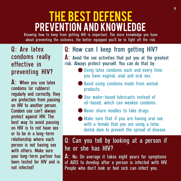### <span id="page-10-0"></span>THE BEST DEFENSE Prevention and Knowledge

Knowing how to keep from getting HIV is important. The more knowledge you have about preventing the sickness, the better equipped you'll be to fight off the risk.

#### Q: Are latex condoms really effective in preventing HIV?

A: When you use latex condoms (or rubbers) regularly and correctly, they are protection from passing on HIV to another person. Condom use can't always protect against HIV. The best way to avoid passing on HIV is to not have sex or to be in a long-term relationship where each person is not having sex with others. Make sure your long-term partner has been tested for HIV and is not infected!

#### Q: How can I keep from getting HIV?

A: Avoid the sex activities that put you at the greatest risk. Always protect yourself. You can do that by:

- Using latex condoms each and every time you have vaginal, anal and oral sex.
- Avoid using condoms made from animal products.
- Use water-based lubricants instead of oil-based, which can weaken condoms.
- Never share needles to take drugs.
- Make sure that if you are having oral sex with a female that you are using a latex dental dam to prevent the spread of disease.

#### Q: Can you tell by looking at a person if he or she has HIV?

A: No. On average it takes eight years for symptoms of AIDS to develop after a person is infected with HIV. People who don't look or feel sick can infect you.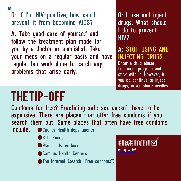10

Q: If I'm HIV-positive, how can I prevent it from becoming AIDS?

A: Take good care of yourself and follow the treatment plan made for you by a doctor or specialist. Take your meds on a regular basis and have regular lab work done to catch any problems that arise early.

Q: I use and inject drugs. What should I do to prevent HIV?

A: STOP USING AND INJECTING DRUGS. Enter a drug abuse treatment program and stick with it. However, if you do continue to inject drugs, never share needles.

### THE TIP-OFF

Condoms for free? Practicing safe sex doesn't have to be expensive. There are places that offer free condoms if you search them out. Some places that often have free condoms

- include: County Health departments
	- STD clinics
	- Planned Parenthood
	- Campus Health Centers
	- **The Internet (search "Free condoms")**

CHECK IT OUT!  $\boxtimes$ [cdc.gov/hiv/](https://www.cdc.gov/hiv/)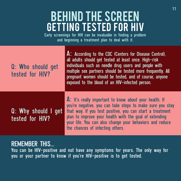### <span id="page-12-0"></span>BEHIND THE SCREEN Getting Tested for HIV

Early screenings for HIV can be invaluable in finding a problem and beginning a treatment plan to deal with it.

| Q: Who should get<br>tested for HIV?   | A: According to the CDC (Centers for Disease Control),<br>all adults should get tested at least once. High-risk<br>individuals such as needle drug users and people with<br>multiple sex partners should be tested more frequently. All<br>pregnant women should be tested, and of course, anyone<br>exposed to the blood of an HIV-infected person. |
|----------------------------------------|------------------------------------------------------------------------------------------------------------------------------------------------------------------------------------------------------------------------------------------------------------------------------------------------------------------------------------------------------|
| Q: Why should I get<br>tested for HIV? | A: It's really important to know about your health. If<br>you're negative, you can take steps to make sure you stay<br>that way. If you test positive, you can start a treatment<br>plan to improve your health with the goal of extending<br>your life. You can also change your behaviors and reduce<br>the chances of infecting others.           |

#### REMEMBER THIS...

You can be HIV-positive and not have any symptoms for years. The only way for you or your partner to know if you're HIV-positive is to get tested.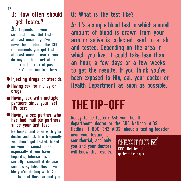#### Q: How often should I get tested?

A: Depends on your circumstances. Get tested at least once if you've never been before. The CDC recommends you get tested at least once a year if you do any of these activities that run the risk of passing the HIV infection to others:

- $\bullet$  Injecting drugs or steroids
- Having sex for money or drugs
- Having sex with multiple partners since your last HIV test
- Having a sex partner who has had multiple partners since your last test Be honest and open with your doctor and ask how frequently you should get tested, based on your circumstances, especially if you have hepatitis, tuberculosis or a sexually transmitted disease such as syphilis. This is your life you're dealing with. And the lives of those around you.

#### Q: What is the test like?

A: It's a simple blood test in which a small amount of blood is drawn from your arm or saliva is collected, sent to a lab and tested. Depending on the area in which you live, it could take less than an hour, a few days or a few weeks to get the results. If you think you've been exposed to HIV, call your doctor or Health Department as soon as possible.

### THE TIP-OFF

Ready to be tested? Ask your health department, doctor or the CDC National AIDS Hotline (1-800-342-AIDS) about a testing location

near you. Testing is confidential, and only you and your doctors will know the results.

CHECK IT OUT!  $\bm{\boxtimes}$ CDC: Get Tested [gettested.cdc.gov](https://gettested.cdc.gov)

<sup>12</sup>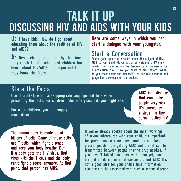#### <span id="page-14-0"></span>TALK IT UP Discussing HIV and AIDS with Your Kids 13

Q: I have kids. How do I go about educating them about the realities of HIV and AIDS?

A: Research indicates that by the time they reach third grade, most children have heard about HIV/AIDS. It's important that they know the facts.

Here are some ways in which you can start a dialogue with your youngster.

#### Start a Conversation

Find a good opportunity to introduce the subject of HIV/ AIDS to your child. Maybe it's after watching a TV show in which a character has the disease, or a commercial for a medication. Ask: "Have you heard of AIDS before? What do you know about the disease?" Let her talk about it and gauge her knowledge on the subject.

#### State the Facts

Use straight-forward, age-appropriate language and tone when presenting the facts. For children under nine years old, you might say:

For older children, you can supply more details:

The human body is made up of billions of cells. Some of these cells are T-cells, which fight disease and keep your body healthy. But if a body gets the HIV virus, that virus kills the T-cells and the body can't fight disease anymore. At that point, that person has AIDS.

AIDS is a disease that can make people very sick. It's caused by a virus  $-a$  tiny germ– called HIV.

If you've already spoken about the inner workings of sexual intercourse with your child, it's important for pre-teens to know how condoms can help protect people from getting AIDS and that it can be transmitted between people sharing drug needles. If you haven't talked about sex with them yet, don't bring it up during initial discussions about AIDS. It's not a good idea for your child's first information about sex to be associated with such a serious disease.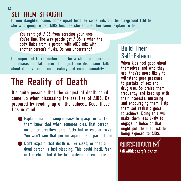#### SET THEM STRAIGHT 14

If your daughter comes home upset because some kids on the playground told her she was going to get AIDS because she scraped her knee, explain to her:

You can't get AIDS from scraping your knee. You're fine. The way people get AIDS is when the body fluids from a person with AIDS mix with another person's fluids. Do you understand?

It's important to remember that for a child to understand the disease, it takes more than just one discussion. Talk about it at various times, calmly and compassionately.

### The Reality of Death

It's quite possible that the subject of death could come up when discussing the realities of AIDS. Be prepared by reading up on the subject. Keep these tips in mind:

- Explain death in simple, easy to grasp terms. Let them know that when someone dies, that person no longer breathes, eats, feels hot or cold or talks. You won't see that person again. It's a part of life.
- **Don't explain that death is like sleep, or that a** dead person is just sleeping. This could instill fear in the child that if he falls asleep, he could die.

#### Build Their Self-Esteem

When kids feel good about themselves and who they are, they're more likely to withstand peer pressure to partake of sex and drug use. So praise them frequently and keep up with their interests, nurturing and encouraging them. Help them set realistic goals to achieve. Doing this will make them less likely to engage in behavior that might put them at risk for being exposed to AIDS.

CHECK IT OUT! [talkwithkids.org/aids.html](http://www.talkwithkids.org/aids.html)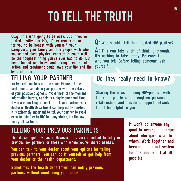## TO TELL THE TRUTH

<span id="page-16-0"></span>Okay. This isn't going to be easy. But if you've tested positive for HIV, it's extremely important for you to be honest with yourself, your caregivers, your family and the people with whom you've had close physical contact. It could well be the toughest thing you've ever had to do. But being honest and brave and taking a course of action and treatment could save your life and the lives of others.

#### TELLING YOUR PARTNER

No two relationships are the same. Figure out the best time to confide in your partner with the details of your positive diagnosis. Avoid "heat of the moment" information bursts, as this is a highly emotional time. If you are unwilling or unable to tell your partner, your doctor or Health Department can help notify him/her. It is extremely important to tell your partner to avoid exposing him/her to HIV. In many states, it's the law to notify all partners.

Q: Who should I tell that I tested HIV-positive?

A: This can take a bit of thinking through. It's nothing to take lightly. Be careful who you tell. Before telling someone, ask yourself...

#### Do they really need to know?

Sharing the news of being HIV-positive with the right people can strengthen personal relationships and provide a support network that'll be helpful to you.

#### TELLING YOUR PREVIOUS PARTNERS

This doesn't get any easier. However, it is very important to tell your previous sex partners or those with whom you've shared needles.

You can talk to your doctor about your options for telling previous partners. You can do it yourself or get help from your doctor or the health department.

Sometimes the health department can notify previous partners without mentioning your name.

It won't do anyone any good to accuse and argue about who gave what to whom. Work together and become a support system for one another, if at all possible.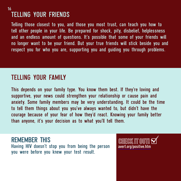#### TELLING YOUR FRIENDS 16

Telling those closest to you, and those you most trust, can teach you how to tell other people in your life. Be prepared for shock, pity, disbelief, helplessness and an endless amount of questions. It's possible that some of your friends will no longer want to be your friend. But your true friends will stick beside you and respect you for who you are, supporting you and guiding you through problems.

#### TELLING YOUR FAMILY

This depends on your family type. You know them best. If they're loving and supportive, your news could strengthen your relationship or cause pain and anxiety. Some family members may be very understanding. It could be the time to tell them things about you you've always wanted to, but didn't have the courage because of your fear of how they'd react. Knowing your family better than anyone, it's your decision as to what you'll tell them.

REMEMBER THIS Having HIV doesn't stop you from being the person you were before you knew your test result.

CHECK IT OUT! [avert.org/positive.htm](https://www.avert.org/positive.htm)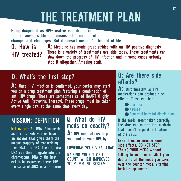### THE TREATMENT PLAN

<span id="page-18-0"></span>Being diagnosed as HIV-positive is a dramatic time in anyone's life, and means a lifetime full of changes and challenges. But it doesn't mean it's the end of life.

#### Q: How is HIV treated?

A: Medicine has made great strides with an HIV-positive diagnosis. There is a variety of treatments available today. These treatments can slow down the progress of HIV infection and in some cases actually stop it altogether. Amazing stuff.

#### Q: What's the first step?

A: Once HIV infection is confirmed, your doctor may start you on a drug treatment plan featuring a combination of anti-HIV drugs. These are sometimes called HAART (Highly Active Anti-Retroviral Therapy). These drugs must be taken every single day, at the same time every day.

#### MISSION: DEFINITION

Retrovirus: An RNA (Ribonucleic acid) virus. Retroviruses have an enzyme that gives them the unique property of transcribing their RNA into DNA. The retroviral DNA can then integrate into the chromosomal DNA of the host cell to be expressed there. HIV, the cause of AIDS, is a retrovirus.

#### Q: What do HIV meds do exactly?

A: HIV medications help you control your HIV by:

LOWERING YOUR VIRAL LOAD

RAISING YOUR T-CELL COUNT, WHICH IMPROVES YOUR IMMUNE SYSTEM

#### Q: Are there side effects?

A: Unfortunately, all HIV medications can produce side effects. These can be:

Diarrhea

- Nausea
- Abnormal body fat distribution

If the meds aren't taken correctly, the virus can mutate into a strain that doesn't respond to treatment of the virus.

Even if you experience some side effects, DO NOT STOP TAKING YOUR MEDS without talking to your doctor. Alert your doctor to all the meds you take: over the counter meds, vitamins, herbal supplements.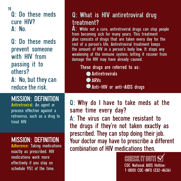18

Q: Do these meds cure HIV? A: No.

Q: Do these meds prevent someone with HIV from passing it to others? A: No, but they can reduce the risk.

#### MISSION: DEFINITION

Antiretroviral: An agent or process effective against a retrovirus, such as a drug to treat HIV.

#### MISSION: DEFINITION

Adherence: Taking medications exactly as prescribed. HIV medications work more effectively if you stay on schedule 95% of the time.

#### Q: What is HIV antiretroviral drug treatment?

A: While not a cure, antiretroviral drugs can stop people from becoming sick for many years. This treatment plan consists of drugs that are taken every day for the rest of a person's life. Antiretroviral treatment keeps the amount of HIV in a person's body low. It stops any weakening of the immune system, letting it recover from damage the HIV may have already caused.

#### These drugs are referred to as:

- **Antiretrovirals**
- **ARVs**
- Anti-HIV or anti-AIDS drugs

Q: Why do I have to take meds at the same time every day? A: The virus can become resistant to the drugs if they're not taken exactly as prescribed. They can stop doing their job. Your doctor may have to prescribe a different combination of HIV medications then.

> CHECK IT OUT! CDC National AIDS Hotline: 1 (800) CDC-INFO (232-4636)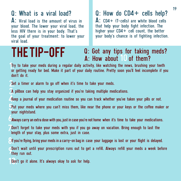#### Q: What is a viral load?

A: Viral load is the amount of virus in your blood. The lower your viral load, the less HIV there is in your body. That's the goal of your treatment: to lower your viral load.

#### Q: How do CD4 + cells help?

 $\mathsf{\Delta}$ : CD4+ (T-cells) are white blood cells that help your body fight infection. The higher your  $CD4+$  cell count, the better your body's chance is of fighting infection.

#### THE TIP-OFF Q: Got any tips for taking meds? A: How about 10 of them?

1.Try to take your meds during a regular daily activity, like watching the news, brushing your teeth or getting ready for bed. Make it part of your daily routine. Pretty soon you'll feel incomplete if you don't do it.

- Set a timer or alarm to go off when it's time to take your meds.
- 3.A pillbox can help you stay organized if you're taking multiple medications.
- Keep a journal of your medication routine so you can track whether you've taken your pills or not.
- 5.Put your meds where you can't miss them, like near the phone or your keys or the coffee maker or your nightstand.
- 6.Always carry an extra dose with you, just in case you're not home when it's time to take your medications.
- 7.Don't forget to take your meds with you if you go away on vacation. Bring enough to last the length of your stay, plus some extra, just in case.
- 8.If you're flying, bring your meds in a carry-on bag in case your luggage is lost or your flight is delayed.
- CDon't wait until your prescription runs out to get a refill. Always refill your meds a week before<br>They run out. they run out.
- Don't go it alone. It's always okay to ask for help.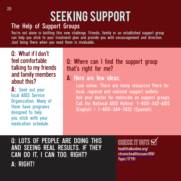## SEEKING SUPPORT

#### <span id="page-21-0"></span>The Help of Support Groups

You're not alone in battling this new challenge. Friends, family or an established support group can help you stick to your treatment plan and provide you with encouragement and direction. Just being there when you need them is invaluable.

Q: What if I don't feel comfortable talking to my friends and family members about this?

A: Seek out your local AIDS Service Organization. Many of them have programs designed to help you stick with your medication schedule.

#### Q: Where can I find the support group that's right for me?

#### A: Here are few ideas:

Look online. There are many resources there for local, regional and national support outlets. Ask your doctor for materials on support groups. Call the National AIDS Hotline: 1-800-342-AIDS (English) / 1-800-344-7432 (Spanish).

Q: LOTS OF PEOPLE ARE DOING THIS AND SEEING REAL RESULTS. IF THEY CAN DO IT, I CAN TOO. RIGHT? A: RIGHT!

CHECK IT OUT!  $\boxtimes$ [healthtalkonline.org/](https://www.healthtalkonline.org/chronichealthissues/HIV/Topic/1719/) [chronichealthissues/HIV/](https://www.healthtalkonline.org/chronichealthissues/HIV/Topic/1719/) [Topic/1719/](https://www.healthtalkonline.org/chronichealthissues/HIV/Topic/1719/)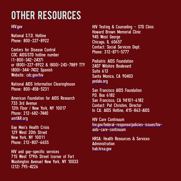### Other Resources

[HIV.gov](https://www.hiv.gov/)

National S.T.D. Hotline Phone: 800-227-8922

Centers for Disease Control CDC AIDS/STD hotline number (1-800-342-2437) or (800)-227-8922 & (800)-243-7889 TTY (800)-344-7432 Spanish Website: [cdc.gov/hiv](https://www.cdc.gov/hiv)

National AIDS Information Clearinghouse Phone: 800-458-5231

American Foundation for AIDS Research 733 3rd Avenue 12th Floor / New York, NY 10017 Phone: 212-682-7440 [amfAR.org](https://www.amfar.org/)

Gay Men's Health Crisis 129 West 20th Street New York, NY 10011 Phone: 212-807-6655

HIV and gay-specific services 715 West 179th Street (corner of Fort Washington Avenue) New York, NY 10033 (212) 795-4226

HIV Testing & Counseling - STD Clinic Howard Brown Memorial Clinic 945 West George Chicago, IL 60657 Contact: Social Services Dept. Phone: 312-871-5777

Pediatric AIDS Foundation 2407 Wilshire Boulevard Suite 613 Santa Monica, CA 90403 [pedals.org](http://www.pedals.org)

San Francisco AIDS Foundation P.O. Box 6182 San Francisco, CA 94101-6182 Contact: Pat Christen, Director In CA: AIDS Hotline, 415-863-AIDS

HIV Care Continuum [hiv.gov/federal-response/policies-issues/hiv](https://www.hiv.gov/federal-response/policies-issues/hiv-aids-care-continuum)[aids-care-continuum](https://www.hiv.gov/federal-response/policies-issues/hiv-aids-care-continuum)

HRSA: Health Resources & Services Administration [hab.hrsa.gov](https://www.hab.hrsa.gov/)